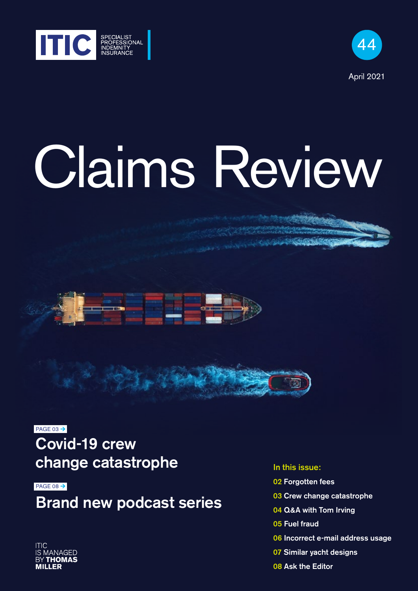



# Claims Review





 $PAGE$  03  $\rightarrow$ Covid-19 crew change catastrophe

PAGE 08 $\rightarrow$ 

Brand new podcast series

#### In this issue:

- 02 Forgotten fees
- 03 Crew change catastrophe
- 04 Q&A with Tom Irving
- 05 Fuel fraud
- 06 Incorrect e-mail address usage
- 07 Similar yacht designs
- 08 Ask the Editor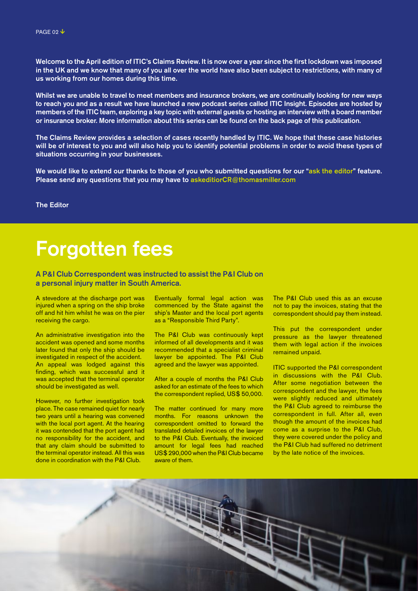Welcome to the April edition of ITIC's Claims Review. It is now over a year since the first lockdown was imposed in the UK and we know that many of you all over the world have also been subject to restrictions, with many of us working from our homes during this time.

Whilst we are unable to travel to meet members and insurance brokers, we are continually looking for new ways to reach you and as a result we have launched a new podcast series called ITIC Insight. Episodes are hosted by members of the ITIC team, exploring a key topic with external guests or hosting an interview with a board member or insurance broker. More information about this series can be found on the back page of this publication.

The Claims Review provides a selection of cases recently handled by ITIC. We hope that these case histories will be of interest to you and will also help you to identify potential problems in order to avoid these types of situations occurring in your businesses.

We would like to extend our thanks to those of you who submitted questions for our "ask the editor" feature. Please send any questions that you may have to askeditiorCR@thomasmiller.com

The Editor

# Forgotten fees

A P&I Club Correspondent was instructed to assist the P&I Club on a personal injury matter in South America.

A stevedore at the discharge port was injured when a spring on the ship broke off and hit him whilst he was on the pier receiving the cargo.

An administrative investigation into the accident was opened and some months later found that only the ship should be investigated in respect of the accident. An appeal was lodged against this finding, which was successful and it was accepted that the terminal operator should be investigated as well.

However, no further investigation took place. The case remained quiet for nearly two years until a hearing was convened with the local port agent. At the hearing it was contended that the port agent had no responsibility for the accident, and that any claim should be submitted to the terminal operator instead. All this was done in coordination with the P&I Club.

Eventually formal legal action was commenced by the State against the ship's Master and the local port agents as a "Responsible Third Party".

The P&I Club was continuously kept informed of all developments and it was recommended that a specialist criminal lawyer be appointed. The P&I Club agreed and the lawyer was appointed.

After a couple of months the P&I Club asked for an estimate of the fees to which the correspondent replied, US\$ 50,000.

The matter continued for many more months. For reasons unknown the correspondent omitted to forward the translated detailed invoices of the lawyer to the P&I Club. Eventually, the invoiced amount for legal fees had reached US\$ 290,000 when the P&I Club became aware of them.

The P&I Club used this as an excuse not to pay the invoices, stating that the correspondent should pay them instead.

This put the correspondent under pressure as the lawyer threatened them with legal action if the invoices remained unpaid.

ITIC supported the P&I correspondent in discussions with the P&I Club. After some negotiation between the correspondent and the lawyer, the fees were slightly reduced and ultimately the P&I Club agreed to reimburse the correspondent in full. After all, even though the amount of the invoices had come as a surprise to the P&I Club, they were covered under the policy and the P&I Club had suffered no detriment by the late notice of the invoices.

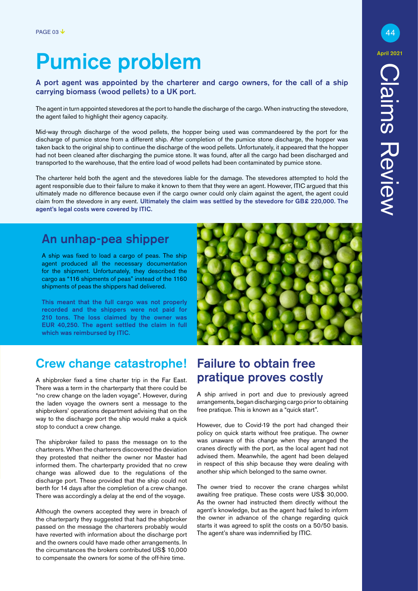# Pumice problem

A port agent was appointed by the charterer and cargo owners, for the call of a ship carrying biomass (wood pellets) to a UK port.

The agent in turn appointed stevedores at the port to handle the discharge of the cargo. When instructing the stevedore, the agent failed to highlight their agency capacity.

Mid-way through discharge of the wood pellets, the hopper being used was commandeered by the port for the discharge of pumice stone from a different ship. After completion of the pumice stone discharge, the hopper was taken back to the original ship to continue the discharge of the wood pellets. Unfortunately, it appeared that the hopper had not been cleaned after discharging the pumice stone. It was found, after all the cargo had been discharged and transported to the warehouse, that the entire load of wood pellets had been contaminated by pumice stone.

The charterer held both the agent and the stevedores liable for the damage. The stevedores attempted to hold the agent responsible due to their failure to make it known to them that they were an agent. However, ITIC argued that this ultimately made no difference because even if the cargo owner could only claim against the agent, the agent could claim from the stevedore in any event. Ultimately the claim was settled by the stevedore for GB£ 220,000. The agent's legal costs were covered by ITIC.

# An unhap-pea shipper

A ship was fixed to load a cargo of peas. The ship agent produced all the necessary documentation for the shipment. Unfortunately, they described the cargo as "116 shipments of peas" instead of the 1160 shipments of peas the shippers had delivered.

This meant that the full cargo was not properly recorded and the shippers were not paid for 210 tons. The loss claimed by the owner was EUR 40,250. The agent settled the claim in full which was reimbursed by ITIC.



# Crew change catastrophe!

A shipbroker fixed a time charter trip in the Far East. There was a term in the charterparty that there could be "no crew change on the laden voyage". However, during the laden voyage the owners sent a message to the shipbrokers' operations department advising that on the way to the discharge port the ship would make a quick stop to conduct a crew change.

The shipbroker failed to pass the message on to the charterers. When the charterers discovered the deviation they protested that neither the owner nor Master had informed them. The charterparty provided that no crew change was allowed due to the regulations of the discharge port. These provided that the ship could not berth for 14 days after the completion of a crew change. There was accordingly a delay at the end of the voyage.

Although the owners accepted they were in breach of the charterparty they suggested that had the shipbroker passed on the message the charterers probably would have reverted with information about the discharge port and the owners could have made other arrangements. In the circumstances the brokers contributed US\$ 10,000 to compensate the owners for some of the off-hire time.

## Failure to obtain free pratique proves costly

A ship arrived in port and due to previously agreed arrangements, began discharging cargo prior to obtaining free pratique. This is known as a "quick start".

However, due to Covid-19 the port had changed their policy on quick starts without free pratique. The owner was unaware of this change when they arranged the cranes directly with the port, as the local agent had not advised them. Meanwhile, the agent had been delayed in respect of this ship because they were dealing with another ship which belonged to the same owner.

The owner tried to recover the crane charges whilst awaiting free pratique. These costs were US\$ 30,000. As the owner had instructed them directly without the agent's knowledge, but as the agent had failed to inform the owner in advance of the change regarding quick starts it was agreed to split the costs on a 50/50 basis. The agent's share was indemnified by ITIC.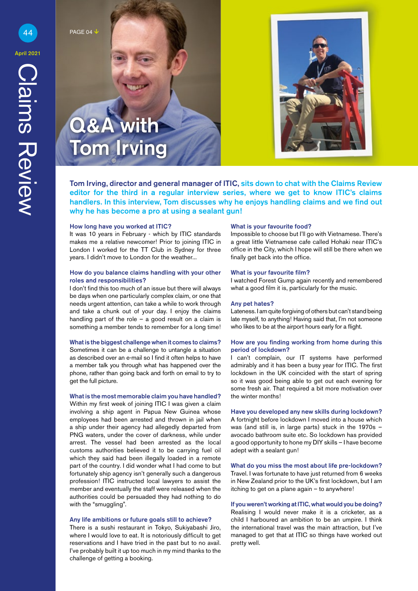44 PAGE 04

 $\boldsymbol{\mathcal{R}}$   $\boldsymbol{\mathsf{\Delta}}$ 

Tom Irving, director and general manager of ITIC, sits down to chat with the Claims Review editor for the third in a regular interview series, where we get to know ITIC's claims handlers. In this interview, Tom discusses why he enjoys handling claims and we find out why he has become a pro at using a sealant gun!

#### How long have you worked at ITIC?

Tom Irving

It was 10 years in February - which by ITIC standards makes me a relative newcomer! Prior to joining ITIC in London I worked for the TT Club in Sydney for three years. I didn't move to London for the weather...

#### How do you balance claims handling with your other roles and responsibilities?

I don't find this too much of an issue but there will always be days when one particularly complex claim, or one that needs urgent attention, can take a while to work through and take a chunk out of your day. I enjoy the claims handling part of the role – a good result on a claim is something a member tends to remember for a long time!

#### What is the biggest challenge when it comes to claims?

Sometimes it can be a challenge to untangle a situation as described over an e-mail so I find it often helps to have a member talk you through what has happened over the phone, rather than going back and forth on email to try to get the full picture.

#### What is the most memorable claim you have handled?

Within my first week of joining ITIC I was given a claim involving a ship agent in Papua New Guinea whose employees had been arrested and thrown in jail when a ship under their agency had allegedly departed from PNG waters, under the cover of darkness, while under arrest. The vessel had been arrested as the local customs authorities believed it to be carrying fuel oil which they said had been illegally loaded in a remote part of the country. I did wonder what I had come to but fortunately ship agency isn't generally such a dangerous profession! ITIC instructed local lawyers to assist the member and eventually the staff were released when the authorities could be persuaded they had nothing to do with the "smuggling".

#### Any life ambitions or future goals still to achieve?

There is a sushi restaurant in Tokyo, Sukiyabashi Jiro, where I would love to eat. It is notoriously difficult to get reservations and I have tried in the past but to no avail. I've probably built it up too much in my mind thanks to the challenge of getting a booking.

#### What is your favourite food?

Impossible to choose but I'll go with Vietnamese. There's a great little Vietnamese cafe called Hohaki near ITIC's office in the City, which I hope will still be there when we finally get back into the office.

#### What is your favourite film?

I watched Forest Gump again recently and remembered what a good film it is, particularly for the music.

#### Any pet hates?

Lateness. I am quite forgiving of others but can't stand being late myself, to anything! Having said that, I'm not someone who likes to be at the airport hours early for a flight.

#### How are you finding working from home during this period of lockdown?

I can't complain, our IT systems have performed admirably and it has been a busy year for ITIC. The first lockdown in the UK coincided with the start of spring so it was good being able to get out each evening for some fresh air. That required a bit more motivation over the winter months!

Have you developed any new skills during lockdown? A fortnight before lockdown I moved into a house which was (and still is, in large parts) stuck in the 1970s – avocado bathroom suite etc. So lockdown has provided a good opportunity to hone my DIY skills – I have become adept with a sealant gun!

What do you miss the most about life pre-lockdown? Travel. I was fortunate to have just returned from 6 weeks in New Zealand prior to the UK's first lockdown, but I am itching to get on a plane again – to anywhere!

If you weren't working at ITIC, what would you be doing? Realising I would never make it is a cricketer, as a child I harboured an ambition to be an umpire. I think the international travel was the main attraction, but I've managed to get that at ITIC so things have worked out pretty well.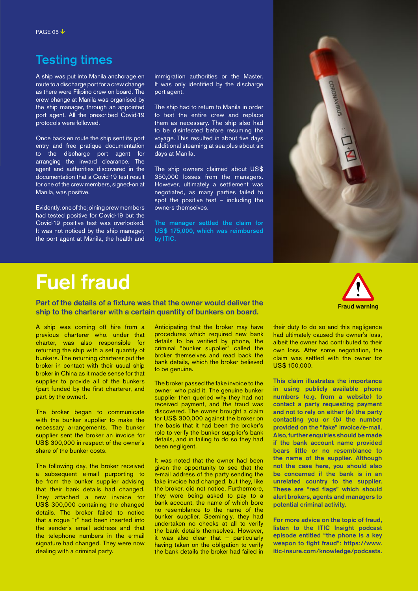## Testing times

A ship was put into Manila anchorage en route to a discharge port for a crew change as there were Filipino crew on board. The crew change at Manila was organised by the ship manager, through an appointed port agent. All the prescribed Covid-19 protocols were followed.

Once back en route the ship sent its port entry and free pratique documentation to the discharge port agent for arranging the inward clearance. The agent and authorities discovered in the documentation that a Covid-19 test result for one of the crew members, signed-on at Manila, was positive.

Evidently, one of the joining crew members had tested positive for Covid-19 but the Covid-19 positive test was overlooked. It was not noticed by the ship manager, the port agent at Manila, the health and

immigration authorities or the Master. It was only identified by the discharge port agent.

The ship had to return to Manila in order to test the entire crew and replace them as necessary. The ship also had to be disinfected before resuming the voyage. This resulted in about five days additional steaming at sea plus about six days at Manila.

The ship owners claimed about US\$ 350,000 losses from the managers. However, ultimately a settlement was negotiated, as many parties failed to spot the positive test – including the owners themselves.

The manager settled the claim for US\$ 175,000, which was reimbursed by ITIC.



# Fuel fraud

Part of the details of a fixture was that the owner would deliver the ship to the charterer with a certain quantity of bunkers on board.



A ship was coming off hire from a previous charterer who, under that charter, was also responsible for returning the ship with a set quantity of bunkers. The returning charterer put the broker in contact with their usual ship broker in China as it made sense for that supplier to provide all of the bunkers (part funded by the first charterer, and part by the owner).

The broker began to communicate with the bunker supplier to make the necessary arrangements. The bunker supplier sent the broker an invoice for US\$ 300,000 in respect of the owner's share of the bunker costs.

The following day, the broker received a subsequent e-mail purporting to be from the bunker supplier advising that their bank details had changed. They attached a new invoice for US\$ 300,000 containing the changed details. The broker failed to notice that a rogue "r" had been inserted into the sender's email address and that the telephone numbers in the e-mail signature had changed. They were now dealing with a criminal party.

Anticipating that the broker may have procedures which required new bank details to be verified by phone, the criminal "bunker supplier" called the broker themselves and read back the bank details, which the broker believed to be genuine.

The broker passed the fake invoice to the owner, who paid it. The genuine bunker supplier then queried why they had not received payment, and the fraud was discovered. The owner brought a claim for US\$ 300,000 against the broker on the basis that it had been the broker's role to verify the bunker supplier's bank details, and in failing to do so they had been negligent.

It was noted that the owner had been given the opportunity to see that the e-mail address of the party sending the fake invoice had changed, but they, like the broker, did not notice. Furthermore, they were being asked to pay to a bank account, the name of which bore no resemblance to the name of the bunker supplier. Seemingly, they had undertaken no checks at all to verify the bank details themselves. However, it was also clear that – particularly having taken on the obligation to verify the bank details the broker had failed in their duty to do so and this negligence had ultimately caused the owner's loss, albeit the owner had contributed to their own loss. After some negotiation, the claim was settled with the owner for US\$ 150,000.

This claim illustrates the importance in using publicly available phone numbers (e.g. from a website) to contact a party requesting payment and not to rely on either (a) the party contacting you or (b) the number provided on the "fake" invoice/e-mail. Also, further enquiries should be made if the bank account name provided bears little or no resemblance to the name of the supplier. Although not the case here, you should also be concerned if the bank is in an unrelated country to the supplier. These are "red flags" which should alert brokers, agents and managers to potential criminal activity.

For more advice on the topic of fraud, listen to the ITIC Insight podcast episode entitled "the phone is a key [weapon to fight fraud": https://www.](https://anchor.fm/iticinsight/episodes/The-phone-is-a-key-weapon-to-fight-fraud-er9alb/a-a4pnfno) itic-insure.com/knowledge/podcasts.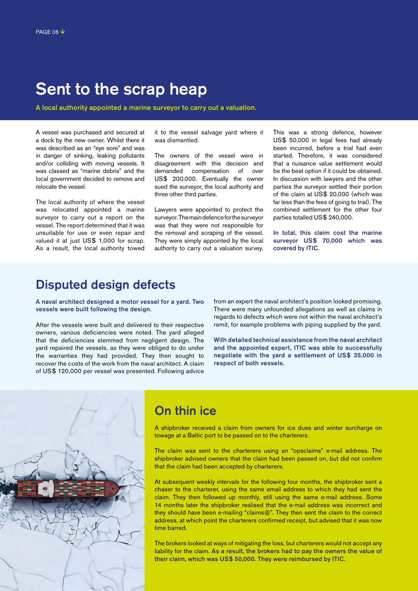# Sent to the scrap heap

A local authority appointed a marine surveyor to carry out a valuation.

A vessel was purchased and secured at a dock by the new owner. Whilst there it was described as an "eye sore" and was in danger of sinking, leaking pollutants and/or colliding with moving vessels. It was classed as "marine debris" and the local government decided to remove and relocate the vessel.

The local authority of where the vessel was relocated appointed a marine surveyor to carry out a report on the vessel. The report determined that it was unsuitable for use or even repair and valued it at just US\$ 1,000 for scrap. As a result, the local authority towed

it to the vessel salvage yard where it was dismantled.

The owners of the vessel were in disagreement with this decision and demanded compensation of over US\$ 200,000. Eventually the owner sued the surveyor, the local authority and three other third parties.

Lawyers were appointed to protect the surveyor. The main defence for the surveyor was that they were not responsible for the removal and scraping of the vessel. They were simply appointed by the local authority to carry out a valuation survey. This was a strong defence, however US\$ 50,000 in legal fees had already been incurred, before a trial had even started. Therefore, it was considered that a nuisance value settlement would be the best option if it could be obtained. In discussion with lawyers and the other parties the surveyor settled their portion of the claim at US\$ 20,000 (which was far less than the fees of going to trial). The combined settlement for the other four parties totalled US\$ 240,000.

In total, this claim cost the marine surveyor US\$ 70,000 which was covered by ITIC.

### Disputed design defects

A naval architect designed a motor vessel for a yard. Two vessels were built following the design.

After the vessels were built and delivered to their respective owners, various deficiencies were noted. The yard alleged that the deficiencies stemmed from negligent design. The yard repaired the vessels, as they were obliged to do under the warranties they had provided. They then sought to recover the costs of the work from the naval architect. A claim of US\$ 120,000 per vessel was presented. Following advice from an expert the naval architect's position looked promising. There were many unfounded allegations as well as claims in regards to defects which were not within the naval architect's remit, for example problems with piping supplied by the yard.

With detailed technical assistance from the naval architect and the appointed expert, ITIC was able to successfully negotiate with the yard a settlement of US\$ 35,000 in respect of both vessels.



## On thin ice

A shipbroker received a claim from owners for ice dues and winter surcharge on towage at a Baltic port to be passed on to the charterers.

The claim was sent to the charterers using an "opsclaims" e-mail address. The shipbroker advised owners that the claim had been passed on, but did not confirm that the claim had been accepted by charterers.

At subsequent weekly intervals for the following four months, the shipbroker sent a chaser to the charterer, using the same email address to which they had sent the claim. They then followed up monthly, still using the same e-mail address. Some 14 months later the shipbroker realised that the e-mail address was incorrect and they should have been e-mailing "claims@". They then sent the claim to the correct address, at which point the charterers confirmed receipt, but advised that it was now time barred.

The brokers looked at ways of mitigating the loss, but charterers would not accept any liability for the claim. As a result, the brokers had to pay the owners the value of their claim, which was US\$ 50,000. They were reimbursed by ITIC.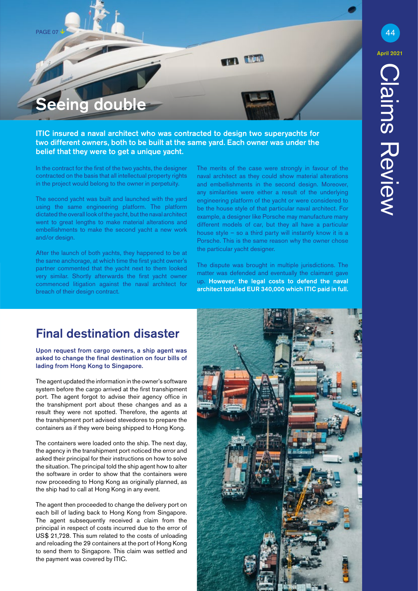PAGE 07

eing double

ITIC insured a naval architect who was contracted to design two superyachts for two different owners, both to be built at the same yard. Each owner was under the

belief that they were to get a unique vacht.

In the contract for the first of the two yachts, the designer contracted on the basis that all intellectual property rights in the project would belong to the owner in perpetuity.

The second yacht was built and launched with the yard using the same engineering platform. The platform dictated the overall look of the yacht, but the naval architect went to great lengths to make material alterations and embellishments to make the second yacht a new work and/or design.

After the launch of both yachts, they happened to be at the same anchorage, at which time the first yacht owner's partner commented that the yacht next to them looked very similar. Shortly afterwards the first yacht owner commenced litigation against the naval architect for breach of their design contract.

The merits of the case were strongly in favour of the naval architect as they could show material alterations and embellishments in the second design. Moreover, any similarities were either a result of the underlying engineering platform of the yacht or were considered to be the house style of that particular naval architect. For example, a designer like Porsche may manufacture many different models of car, but they all have a particular house style – so a third party will instantly know it is a Porsche. This is the same reason why the owner chose the particular yacht designer.

**In the** 

The dispute was brought in multiple jurisdictions. The matter was defended and eventually the claimant gave up. However, the legal costs to defend the naval architect totalled EUR 340,000 which ITIC paid in full.

## Final destination disaster

Upon request from cargo owners, a ship agent was asked to change the final destination on four bills of lading from Hong Kong to Singapore.

The agent updated the information in the owner's software system before the cargo arrived at the first transhipment port. The agent forgot to advise their agency office in the transhipment port about these changes and as a result they were not spotted. Therefore, the agents at the transhipment port advised stevedores to prepare the containers as if they were being shipped to Hong Kong.

The containers were loaded onto the ship. The next day, the agency in the transhipment port noticed the error and asked their principal for their instructions on how to solve the situation. The principal told the ship agent how to alter the software in order to show that the containers were now proceeding to Hong Kong as originally planned, as the ship had to call at Hong Kong in any event.

The agent then proceeded to change the delivery port on each bill of lading back to Hong Kong from Singapore. The agent subsequently received a claim from the principal in respect of costs incurred due to the error of US\$ 21,728. This sum related to the costs of unloading and reloading the 29 containers at the port of Hong Kong to send them to Singapore. This claim was settled and the payment was covered by ITIC.